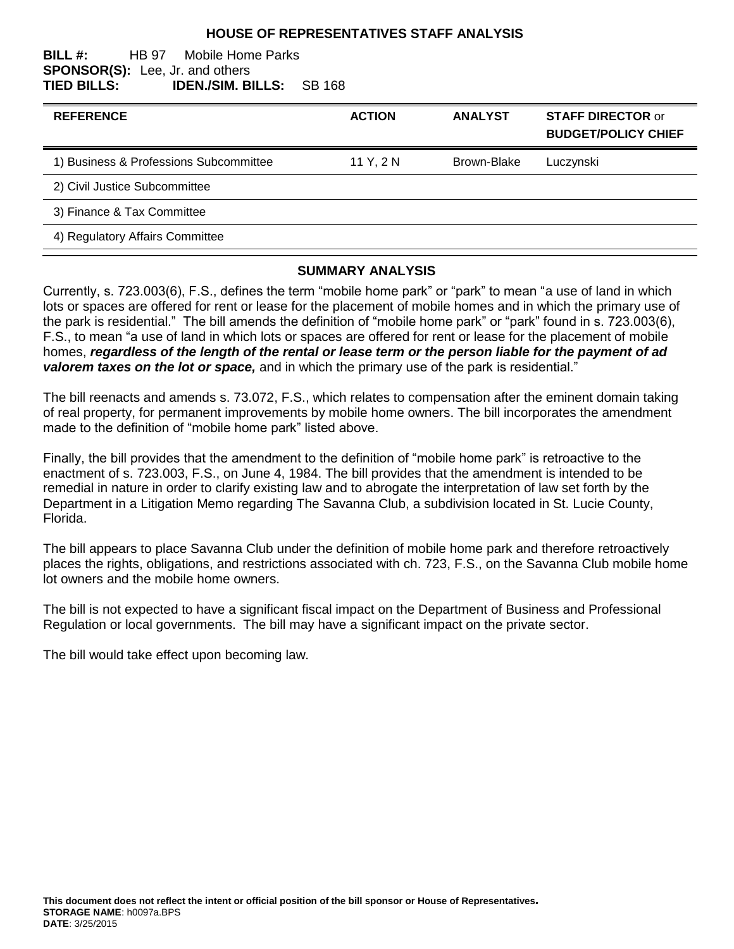### **HOUSE OF REPRESENTATIVES STAFF ANALYSIS**

#### **BILL #:** HB 97 Mobile Home Parks **SPONSOR(S):** Lee, Jr. and others **TIED BILLS: IDEN./SIM. BILLS:** SB 168

| <b>REFERENCE</b>                       | <b>ACTION</b> | <b>ANALYST</b> | <b>STAFF DIRECTOR or</b><br><b>BUDGET/POLICY CHIEF</b> |
|----------------------------------------|---------------|----------------|--------------------------------------------------------|
| 1) Business & Professions Subcommittee | 11 Y, 2 N     | Brown-Blake    | Luczynski                                              |
| 2) Civil Justice Subcommittee          |               |                |                                                        |
| 3) Finance & Tax Committee             |               |                |                                                        |
| 4) Regulatory Affairs Committee        |               |                |                                                        |

### **SUMMARY ANALYSIS**

Currently, s. 723.003(6), F.S., defines the term "mobile home park" or "park" to mean "a use of land in which lots or spaces are offered for rent or lease for the placement of mobile homes and in which the primary use of the park is residential." The bill amends the definition of "mobile home park" or "park" found in s. 723.003(6), F.S., to mean "a use of land in which lots or spaces are offered for rent or lease for the placement of mobile homes, *regardless of the length of the rental or lease term or the person liable for the payment of ad valorem taxes on the lot or space,* and in which the primary use of the park is residential."

The bill reenacts and amends s. 73.072, F.S., which relates to compensation after the eminent domain taking of real property, for permanent improvements by mobile home owners. The bill incorporates the amendment made to the definition of "mobile home park" listed above.

Finally, the bill provides that the amendment to the definition of "mobile home park" is retroactive to the enactment of s. 723.003, F.S., on June 4, 1984. The bill provides that the amendment is intended to be remedial in nature in order to clarify existing law and to abrogate the interpretation of law set forth by the Department in a Litigation Memo regarding The Savanna Club, a subdivision located in St. Lucie County, Florida.

The bill appears to place Savanna Club under the definition of mobile home park and therefore retroactively places the rights, obligations, and restrictions associated with ch. 723, F.S., on the Savanna Club mobile home lot owners and the mobile home owners.

The bill is not expected to have a significant fiscal impact on the Department of Business and Professional Regulation or local governments. The bill may have a significant impact on the private sector.

The bill would take effect upon becoming law.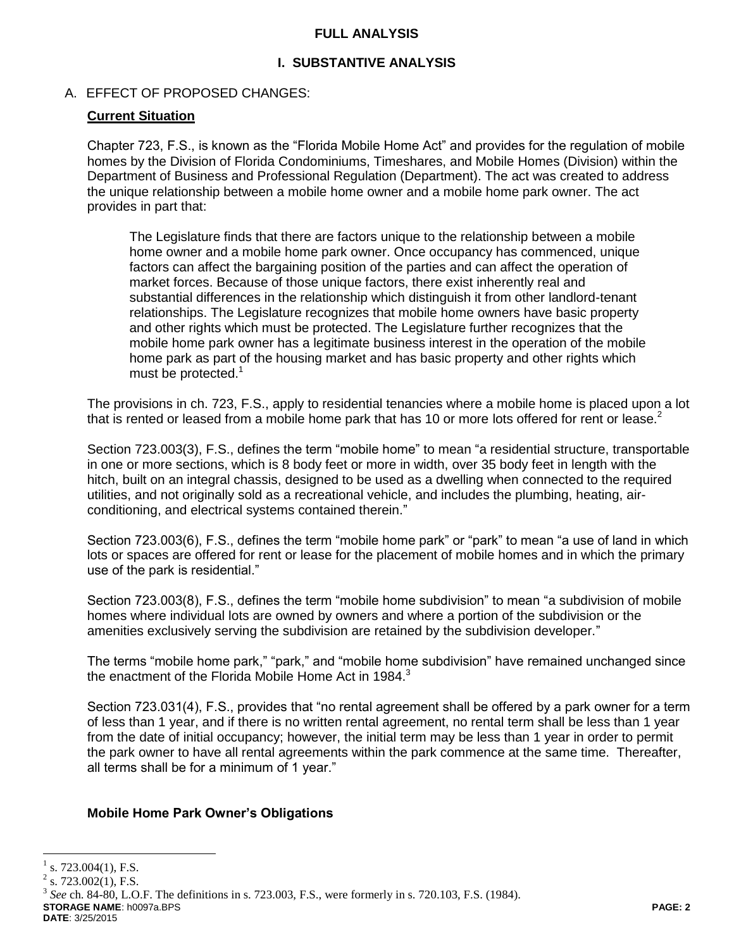### **FULL ANALYSIS**

# **I. SUBSTANTIVE ANALYSIS**

## A. EFFECT OF PROPOSED CHANGES:

### **Current Situation**

Chapter 723, F.S., is known as the "Florida Mobile Home Act" and provides for the regulation of mobile homes by the Division of Florida Condominiums, Timeshares, and Mobile Homes (Division) within the Department of Business and Professional Regulation (Department). The act was created to address the unique relationship between a mobile home owner and a mobile home park owner. The act provides in part that:

The Legislature finds that there are factors unique to the relationship between a mobile home owner and a mobile home park owner. Once occupancy has commenced, unique factors can affect the bargaining position of the parties and can affect the operation of market forces. Because of those unique factors, there exist inherently real and substantial differences in the relationship which distinguish it from other landlord-tenant relationships. The Legislature recognizes that mobile home owners have basic property and other rights which must be protected. The Legislature further recognizes that the mobile home park owner has a legitimate business interest in the operation of the mobile home park as part of the housing market and has basic property and other rights which must be protected.<sup>1</sup>

The provisions in ch. 723, F.S., apply to residential tenancies where a mobile home is placed upon a lot that is rented or leased from a mobile home park that has 10 or more lots offered for rent or lease.<sup>2</sup>

Section 723.003(3), F.S., defines the term "mobile home" to mean "a residential structure, transportable in one or more sections, which is 8 body feet or more in width, over 35 body feet in length with the hitch, built on an integral chassis, designed to be used as a dwelling when connected to the required utilities, and not originally sold as a recreational vehicle, and includes the plumbing, heating, airconditioning, and electrical systems contained therein."

Section 723.003(6), F.S., defines the term "mobile home park" or "park" to mean "a use of land in which lots or spaces are offered for rent or lease for the placement of mobile homes and in which the primary use of the park is residential."

Section 723.003(8), F.S., defines the term "mobile home subdivision" to mean "a subdivision of mobile homes where individual lots are owned by owners and where a portion of the subdivision or the amenities exclusively serving the subdivision are retained by the subdivision developer."

The terms "mobile home park," "park," and "mobile home subdivision" have remained unchanged since the enactment of the Florida Mobile Home Act in 1984.<sup>3</sup>

Section 723.031(4), F.S., provides that "no rental agreement shall be offered by a park owner for a term of less than 1 year, and if there is no written rental agreement, no rental term shall be less than 1 year from the date of initial occupancy; however, the initial term may be less than 1 year in order to permit the park owner to have all rental agreements within the park commence at the same time. Thereafter, all terms shall be for a minimum of 1 year."

#### **Mobile Home Park Owner's Obligations**

 $\overline{a}$ 

 $2$  s. 723.002(1), F.S.

**STORAGE NAME**: h0097a.BPS **PAGE: 2** 3 *See* ch. 84-80, L.O.F. The definitions in s. 723.003, F.S., were formerly in s. 720.103, F.S. (1984).

**DATE**: 3/25/2015

<sup>1</sup> s. 723.004(1), F.S.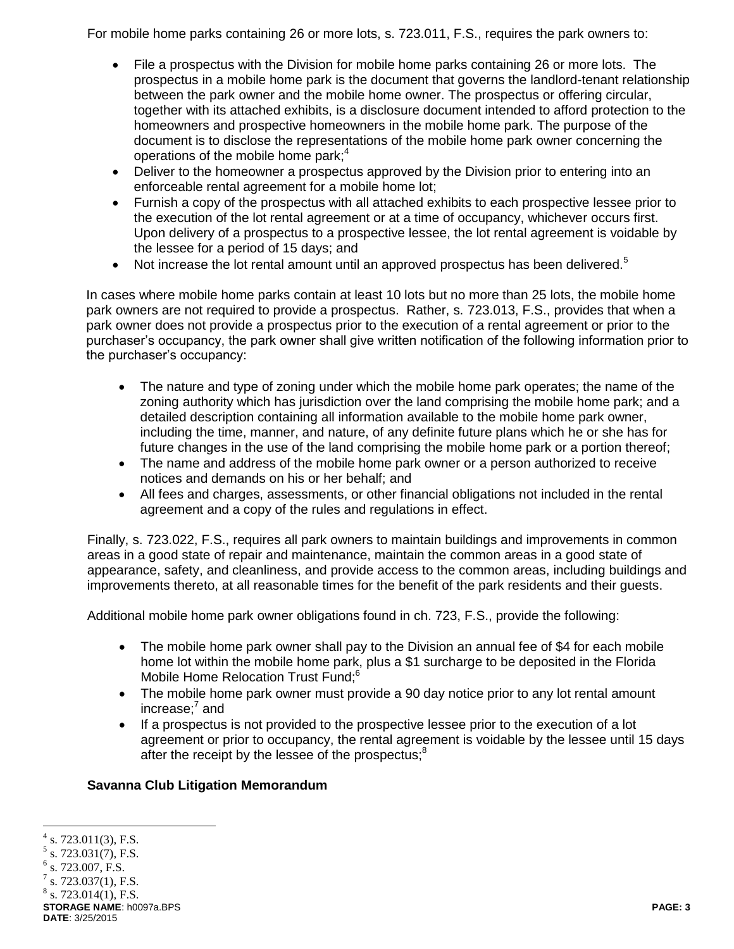For mobile home parks containing 26 or more lots, s. 723.011, F.S., requires the park owners to:

- File a prospectus with the Division for mobile home parks containing 26 or more lots. The prospectus in a mobile home park is the document that governs the landlord-tenant relationship between the park owner and the mobile home owner. The prospectus or offering circular, together with its attached exhibits, is a disclosure document intended to afford protection to the homeowners and prospective homeowners in the mobile home park. The purpose of the document is to disclose the representations of the mobile home park owner concerning the operations of the mobile home park; $4$
- Deliver to the homeowner a prospectus approved by the Division prior to entering into an enforceable rental agreement for a mobile home lot;
- Furnish a copy of the prospectus with all attached exhibits to each prospective lessee prior to the execution of the lot rental agreement or at a time of occupancy, whichever occurs first. Upon delivery of a prospectus to a prospective lessee, the lot rental agreement is voidable by the lessee for a period of 15 days; and
- $\bullet$  Not increase the lot rental amount until an approved prospectus has been delivered.<sup>5</sup>

In cases where mobile home parks contain at least 10 lots but no more than 25 lots, the mobile home park owners are not required to provide a prospectus. Rather, s. 723.013, F.S., provides that when a park owner does not provide a prospectus prior to the execution of a rental agreement or prior to the purchaser's occupancy, the park owner shall give written notification of the following information prior to the purchaser's occupancy:

- The nature and type of zoning under which the mobile home park operates; the name of the zoning authority which has jurisdiction over the land comprising the mobile home park; and a detailed description containing all information available to the mobile home park owner, including the time, manner, and nature, of any definite future plans which he or she has for future changes in the use of the land comprising the mobile home park or a portion thereof;
- The name and address of the mobile home park owner or a person authorized to receive notices and demands on his or her behalf; and
- All fees and charges, assessments, or other financial obligations not included in the rental agreement and a copy of the rules and regulations in effect.

Finally, s. 723.022, F.S., requires all park owners to maintain buildings and improvements in common areas in a good state of repair and maintenance, maintain the common areas in a good state of appearance, safety, and cleanliness, and provide access to the common areas, including buildings and improvements thereto, at all reasonable times for the benefit of the park residents and their guests.

Additional mobile home park owner obligations found in ch. 723, F.S., provide the following:

- The mobile home park owner shall pay to the Division an annual fee of \$4 for each mobile home lot within the mobile home park, plus a \$1 surcharge to be deposited in the Florida Mobile Home Relocation Trust Fund;<sup>6</sup>
- The mobile home park owner must provide a 90 day notice prior to any lot rental amount increase; 7 and
- If a prospectus is not provided to the prospective lessee prior to the execution of a lot agreement or prior to occupancy, the rental agreement is voidable by the lessee until 15 days after the receipt by the lessee of the prospectus;<sup>8</sup>

# **Savanna Club Litigation Memorandum**

**STORAGE NAME**: h0097a.BPS **PAGE: 3 DATE**: 3/25/2015

 $\overline{a}$  $4$  s. 723.011(3), F.S.

 $5$  s. 723.031(7), F.S.<br> $6$  s. 723.007, F.S.

s. 723.007, F.S.

<sup>7</sup> s. 723.037(1), F.S.

 $8$  s. 723.014(1), F.S.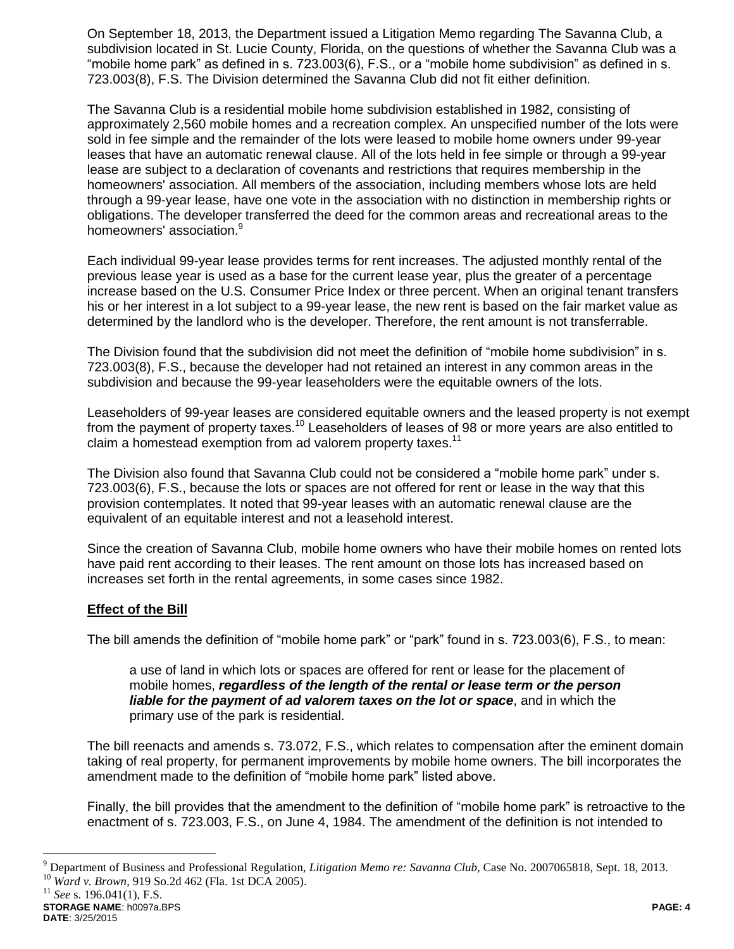On September 18, 2013, the Department issued a Litigation Memo regarding The Savanna Club, a subdivision located in St. Lucie County, Florida, on the questions of whether the Savanna Club was a "mobile home park" as defined in s. 723.003(6), F.S., or a "mobile home subdivision" as defined in s. 723.003(8), F.S. The Division determined the Savanna Club did not fit either definition.

The Savanna Club is a residential mobile home subdivision established in 1982, consisting of approximately 2,560 mobile homes and a recreation complex. An unspecified number of the lots were sold in fee simple and the remainder of the lots were leased to mobile home owners under 99-year leases that have an automatic renewal clause. All of the lots held in fee simple or through a 99-year lease are subject to a declaration of covenants and restrictions that requires membership in the homeowners' association. All members of the association, including members whose lots are held through a 99-year lease, have one vote in the association with no distinction in membership rights or obligations. The developer transferred the deed for the common areas and recreational areas to the homeowners' association.<sup>9</sup>

Each individual 99-year lease provides terms for rent increases. The adjusted monthly rental of the previous lease year is used as a base for the current lease year, plus the greater of a percentage increase based on the U.S. Consumer Price Index or three percent. When an original tenant transfers his or her interest in a lot subject to a 99-year lease, the new rent is based on the fair market value as determined by the landlord who is the developer. Therefore, the rent amount is not transferrable.

The Division found that the subdivision did not meet the definition of "mobile home subdivision" in s. 723.003(8), F.S., because the developer had not retained an interest in any common areas in the subdivision and because the 99-year leaseholders were the equitable owners of the lots.

Leaseholders of 99-year leases are considered equitable owners and the leased property is not exempt from the payment of property taxes.<sup>10</sup> Leaseholders of leases of 98 or more years are also entitled to claim a homestead exemption from ad valorem property taxes.<sup>11</sup>

The Division also found that Savanna Club could not be considered a "mobile home park" under s. 723.003(6), F.S., because the lots or spaces are not offered for rent or lease in the way that this provision contemplates. It noted that 99-year leases with an automatic renewal clause are the equivalent of an equitable interest and not a leasehold interest.

Since the creation of Savanna Club, mobile home owners who have their mobile homes on rented lots have paid rent according to their leases. The rent amount on those lots has increased based on increases set forth in the rental agreements, in some cases since 1982.

## **Effect of the Bill**

The bill amends the definition of "mobile home park" or "park" found in s. 723.003(6), F.S., to mean:

a use of land in which lots or spaces are offered for rent or lease for the placement of mobile homes, *regardless of the length of the rental or lease term or the person liable for the payment of ad valorem taxes on the lot or space*, and in which the primary use of the park is residential.

The bill reenacts and amends s. 73.072, F.S., which relates to compensation after the eminent domain taking of real property, for permanent improvements by mobile home owners. The bill incorporates the amendment made to the definition of "mobile home park" listed above.

Finally, the bill provides that the amendment to the definition of "mobile home park" is retroactive to the enactment of s. 723.003, F.S., on June 4, 1984. The amendment of the definition is not intended to

 $\overline{a}$ 

<sup>9</sup> Department of Business and Professional Regulation, *Litigation Memo re: Savanna Club*, Case No. 2007065818, Sept. 18, 2013. <sup>10</sup> *Ward v. Brown*, 919 So.2d 462 (Fla. 1st DCA 2005).

 $^{11}$  *See* s. 196.041(1), F.S.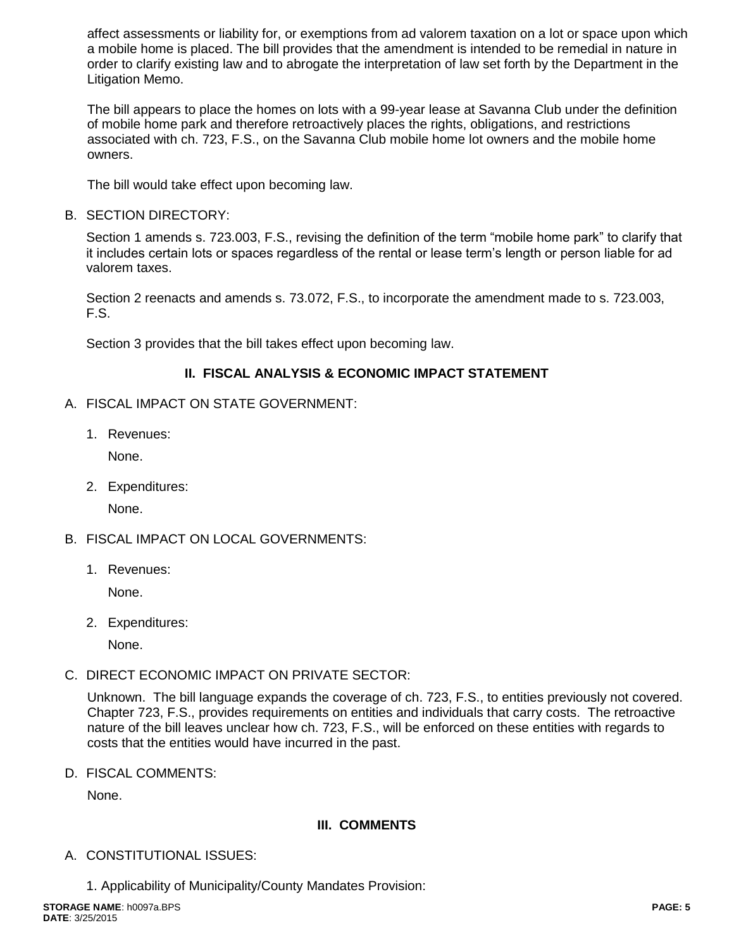affect assessments or liability for, or exemptions from ad valorem taxation on a lot or space upon which a mobile home is placed. The bill provides that the amendment is intended to be remedial in nature in order to clarify existing law and to abrogate the interpretation of law set forth by the Department in the Litigation Memo.

The bill appears to place the homes on lots with a 99-year lease at Savanna Club under the definition of mobile home park and therefore retroactively places the rights, obligations, and restrictions associated with ch. 723, F.S., on the Savanna Club mobile home lot owners and the mobile home owners.

The bill would take effect upon becoming law.

B. SECTION DIRECTORY:

Section 1 amends s. 723.003, F.S., revising the definition of the term "mobile home park" to clarify that it includes certain lots or spaces regardless of the rental or lease term's length or person liable for ad valorem taxes.

Section 2 reenacts and amends s. 73.072, F.S., to incorporate the amendment made to s. 723.003, F.S.

Section 3 provides that the bill takes effect upon becoming law.

## **II. FISCAL ANALYSIS & ECONOMIC IMPACT STATEMENT**

- A. FISCAL IMPACT ON STATE GOVERNMENT:
	- 1. Revenues:

None.

2. Expenditures:

None.

- B. FISCAL IMPACT ON LOCAL GOVERNMENTS:
	- 1. Revenues:

None.

2. Expenditures:

None.

C. DIRECT ECONOMIC IMPACT ON PRIVATE SECTOR:

Unknown. The bill language expands the coverage of ch. 723, F.S., to entities previously not covered. Chapter 723, F.S., provides requirements on entities and individuals that carry costs. The retroactive nature of the bill leaves unclear how ch. 723, F.S., will be enforced on these entities with regards to costs that the entities would have incurred in the past.

D. FISCAL COMMENTS:

None.

## **III. COMMENTS**

- A. CONSTITUTIONAL ISSUES:
	- 1. Applicability of Municipality/County Mandates Provision: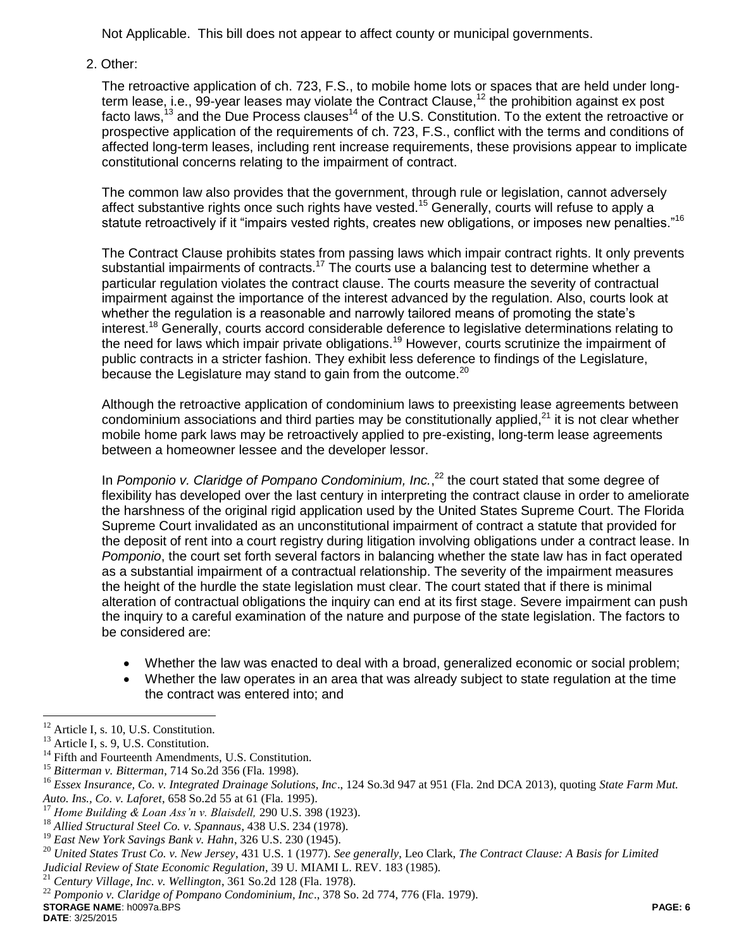Not Applicable. This bill does not appear to affect county or municipal governments.

2. Other:

The retroactive application of ch. 723, F.S., to mobile home lots or spaces that are held under longterm lease, i.e., 99-year leases may violate the Contract Clause,<sup>12</sup> the prohibition against ex post facto laws,<sup>13</sup> and the Due Process clauses<sup>14</sup> of the U.S. Constitution. To the extent the retroactive or prospective application of the requirements of ch. 723, F.S., conflict with the terms and conditions of affected long-term leases, including rent increase requirements, these provisions appear to implicate constitutional concerns relating to the impairment of contract.

The common law also provides that the government, through rule or legislation, cannot adversely affect substantive rights once such rights have vested.<sup>15</sup> Generally, courts will refuse to apply a statute retroactively if it "impairs vested rights, creates new obligations, or imposes new penalties."16

The Contract Clause prohibits states from passing laws which impair contract rights. It only prevents substantial impairments of contracts.<sup>17</sup> The courts use a balancing test to determine whether a particular regulation violates the contract clause. The courts measure the severity of contractual impairment against the importance of the interest advanced by the regulation. Also, courts look at whether the regulation is a reasonable and narrowly tailored means of promoting the state's interest.<sup>18</sup> Generally, courts accord considerable deference to legislative determinations relating to the need for laws which impair private obligations.<sup>19</sup> However, courts scrutinize the impairment of public contracts in a stricter fashion. They exhibit less deference to findings of the Legislature, because the Legislature may stand to gain from the outcome.<sup>20</sup>

Although the retroactive application of condominium laws to preexisting lease agreements between condominium associations and third parties may be constitutionally applied, $^{21}$  it is not clear whether mobile home park laws may be retroactively applied to pre-existing, long-term lease agreements between a homeowner lessee and the developer lessor.

In *Pomponio v. Claridge of Pompano Condominium, Inc.*, <sup>22</sup> the court stated that some degree of flexibility has developed over the last century in interpreting the contract clause in order to ameliorate the harshness of the original rigid application used by the United States Supreme Court. The Florida Supreme Court invalidated as an unconstitutional impairment of contract a statute that provided for the deposit of rent into a court registry during litigation involving obligations under a contract lease. In *Pomponio*, the court set forth several factors in balancing whether the state law has in fact operated as a substantial impairment of a contractual relationship. The severity of the impairment measures the height of the hurdle the state legislation must clear. The court stated that if there is minimal alteration of contractual obligations the inquiry can end at its first stage. Severe impairment can push the inquiry to a careful examination of the nature and purpose of the state legislation. The factors to be considered are:

- Whether the law was enacted to deal with a broad, generalized economic or social problem;
- Whether the law operates in an area that was already subject to state regulation at the time the contract was entered into; and

 $\overline{a}$  $12$  Article I, s. 10, U.S. Constitution.

<sup>&</sup>lt;sup>13</sup> Article I, s. 9, U.S. Constitution.

<sup>&</sup>lt;sup>14</sup> Fifth and Fourteenth Amendments, U.S. Constitution.

<sup>&</sup>lt;sup>15</sup> *Bitterman v. Bitterman*, 714 So.2d 356 (Fla. 1998).<br><sup>16</sup> Essex Insurance, Co. y. Integrated Drainage Solution

<sup>16</sup> *Essex Insurance, Co. v. Integrated Drainage Solutions, Inc*., 124 So.3d 947 at 951 (Fla. 2nd DCA 2013), quoting *State Farm Mut. Auto. Ins., Co. v. Laforet*, 658 So.2d 55 at 61 (Fla. 1995).

<sup>17</sup> *Home Building & Loan Ass'n v. Blaisdell,* 290 U.S. 398 (1923).

<sup>18</sup> *Allied Structural Steel Co. v. Spannaus*, 438 U.S. 234 (1978).

<sup>19</sup> *East New York Savings Bank v. Hahn*, 326 U.S. 230 (1945).

<sup>20</sup> *United States Trust Co. v. New Jersey*, 431 U.S. 1 (1977). *See generally*, Leo Clark, *The Contract Clause: A Basis for Limited Judicial Review of State Economic Regulation*, 39 U. MIAMI L. REV. 183 (1985).

<sup>21</sup> *Century Village, Inc. v. Wellington*, 361 So.2d 128 (Fla. 1978).

**STORAGE NAME**: h0097a.BPS **PAGE: 6** <sup>22</sup> *Pomponio v. Claridge of Pompano Condominium, Inc*., 378 So. 2d 774, 776 (Fla. 1979).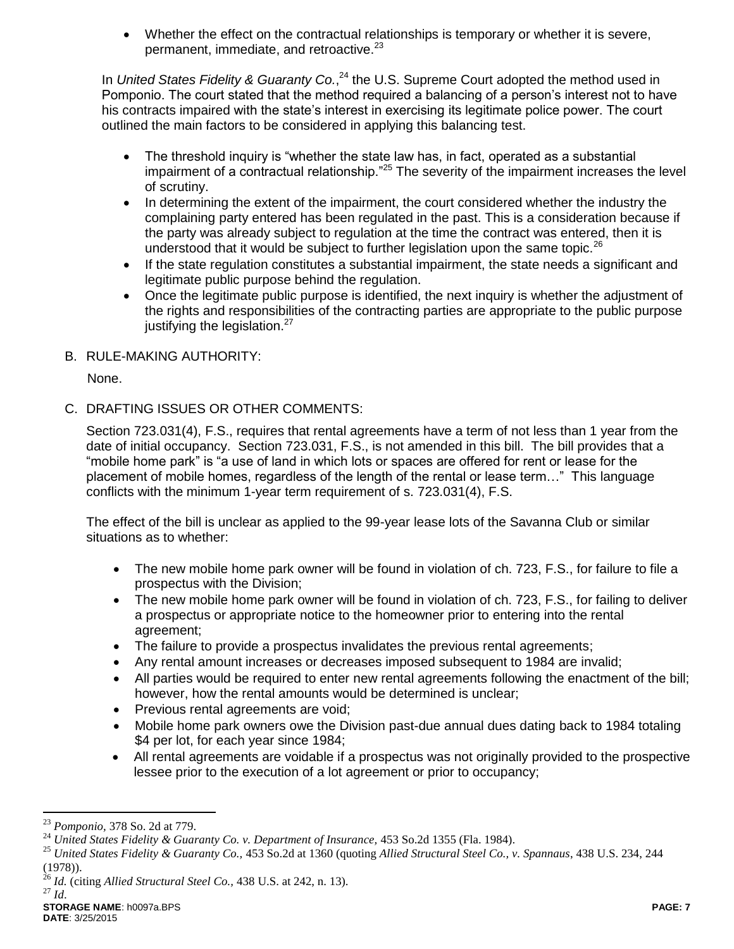Whether the effect on the contractual relationships is temporary or whether it is severe, permanent, immediate, and retroactive.<sup>23</sup>

In United States Fidelity & Guaranty Co.,<sup>24</sup> the U.S. Supreme Court adopted the method used in Pomponio. The court stated that the method required a balancing of a person's interest not to have his contracts impaired with the state's interest in exercising its legitimate police power. The court outlined the main factors to be considered in applying this balancing test.

- The threshold inquiry is "whether the state law has, in fact, operated as a substantial impairment of a contractual relationship."<sup>25</sup> The severity of the impairment increases the level of scrutiny.
- In determining the extent of the impairment, the court considered whether the industry the complaining party entered has been regulated in the past. This is a consideration because if the party was already subject to regulation at the time the contract was entered, then it is understood that it would be subject to further legislation upon the same topic.<sup>26</sup>
- If the state regulation constitutes a substantial impairment, the state needs a significant and legitimate public purpose behind the regulation.
- Once the legitimate public purpose is identified, the next inquiry is whether the adjustment of the rights and responsibilities of the contracting parties are appropriate to the public purpose justifying the legislation.<sup>27</sup>
- B. RULE-MAKING AUTHORITY:

None.

C. DRAFTING ISSUES OR OTHER COMMENTS:

Section 723.031(4), F.S., requires that rental agreements have a term of not less than 1 year from the date of initial occupancy. Section 723.031, F.S., is not amended in this bill. The bill provides that a "mobile home park" is "a use of land in which lots or spaces are offered for rent or lease for the placement of mobile homes, regardless of the length of the rental or lease term…" This language conflicts with the minimum 1-year term requirement of s. 723.031(4), F.S.

The effect of the bill is unclear as applied to the 99-year lease lots of the Savanna Club or similar situations as to whether:

- The new mobile home park owner will be found in violation of ch. 723, F.S., for failure to file a prospectus with the Division;
- The new mobile home park owner will be found in violation of ch. 723, F.S., for failing to deliver a prospectus or appropriate notice to the homeowner prior to entering into the rental agreement;
- The failure to provide a prospectus invalidates the previous rental agreements;
- Any rental amount increases or decreases imposed subsequent to 1984 are invalid;
- All parties would be required to enter new rental agreements following the enactment of the bill; however, how the rental amounts would be determined is unclear;
- Previous rental agreements are void;
- Mobile home park owners owe the Division past-due annual dues dating back to 1984 totaling \$4 per lot, for each year since 1984;
- All rental agreements are voidable if a prospectus was not originally provided to the prospective lessee prior to the execution of a lot agreement or prior to occupancy;

 $\overline{a}$ 

<sup>23</sup> *Pomponio,* 378 So. 2d at 779.

<sup>&</sup>lt;sup>24</sup> United States Fidelity & Guaranty Co. v. Department of Insurance, 453 So.2d 1355 (Fla. 1984).

<sup>25</sup> *United States Fidelity & Guaranty Co.,* 453 So.2d at 1360 (quoting *Allied Structural Steel Co., v. Spannaus*, 438 U.S. 234, 244 (1978)).

<sup>26</sup> *Id.* (citing *Allied Structural Steel Co.,* 438 U.S. at 242, n. 13). <sup>27</sup> *Id*.